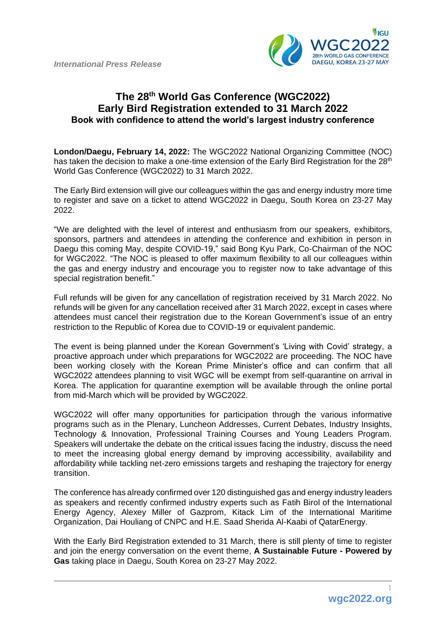

# **The 28th World Gas Conference (WGC2022) Early Bird Registration extended to 31 March 2022 Book with confidence to attend the world's largest industry conference**

**London/Daegu, February 14, 2022:** The WGC2022 National Organizing Committee (NOC) has taken the decision to make a one-time extension of the Early Bird Registration for the 28<sup>th</sup> World Gas Conference (WGC2022) to 31 March 2022.

The Early Bird extension will give our colleagues within the gas and energy industry more time to register and save on a ticket to attend WGC2022 in Daegu, South Korea on 23-27 May 2022.

"We are delighted with the level of interest and enthusiasm from our speakers, exhibitors, sponsors, partners and attendees in attending the conference and exhibition in person in Daegu this coming May, despite COVID-19," said Bong Kyu Park, Co-Chairman of the NOC for WGC2022. "The NOC is pleased to offer maximum flexibility to all our colleagues within the gas and energy industry and encourage you to register now to take advantage of this special registration benefit."

Full refunds will be given for any cancellation of registration received by 31 March 2022. No refunds will be given for any cancellation received after 31 March 2022, except in cases where attendees must cancel their registration due to the Korean Government's issue of an entry restriction to the Republic of Korea due to COVID-19 or equivalent pandemic.

The event is being planned under the Korean Government's 'Living with Covid' strategy, a proactive approach under which preparations for WGC2022 are proceeding. The NOC have been working closely with the Korean Prime Minister's office and can confirm that all WGC2022 attendees planning to visit WGC will be exempt from self-quarantine on arrival in Korea. The application for quarantine exemption will be available through the online portal from mid-March which will be provided by WGC2022.

WGC2022 will offer many opportunities for participation through the various informative programs such as in the Plenary, Luncheon Addresses, Current Debates, Industry Insights, Technology & Innovation, Professional Training Courses and Young Leaders Program. Speakers will undertake the debate on the critical issues facing the industry, discuss the need to meet the increasing global energy demand by improving accessibility, availability and affordability while tackling net-zero emissions targets and reshaping the trajectory for energy transition.

The conference has already confirmed over 120 distinguished gas and energy industry leaders as speakers and recently confirmed industry experts such as Fatih Birol of the International Energy Agency, Alexey Miller of Gazprom, Kitack Lim of the International Maritime Organization, Dai Houliang of CNPC and H.E. Saad Sherida Al-Kaabi of QatarEnergy.

With the Early Bird Registration extended to 31 March, there is still plenty of time to register and join the energy conversation on the event theme, **A Sustainable Future - Powered by Gas** taking place in Daegu, South Korea on 23-27 May 2022.